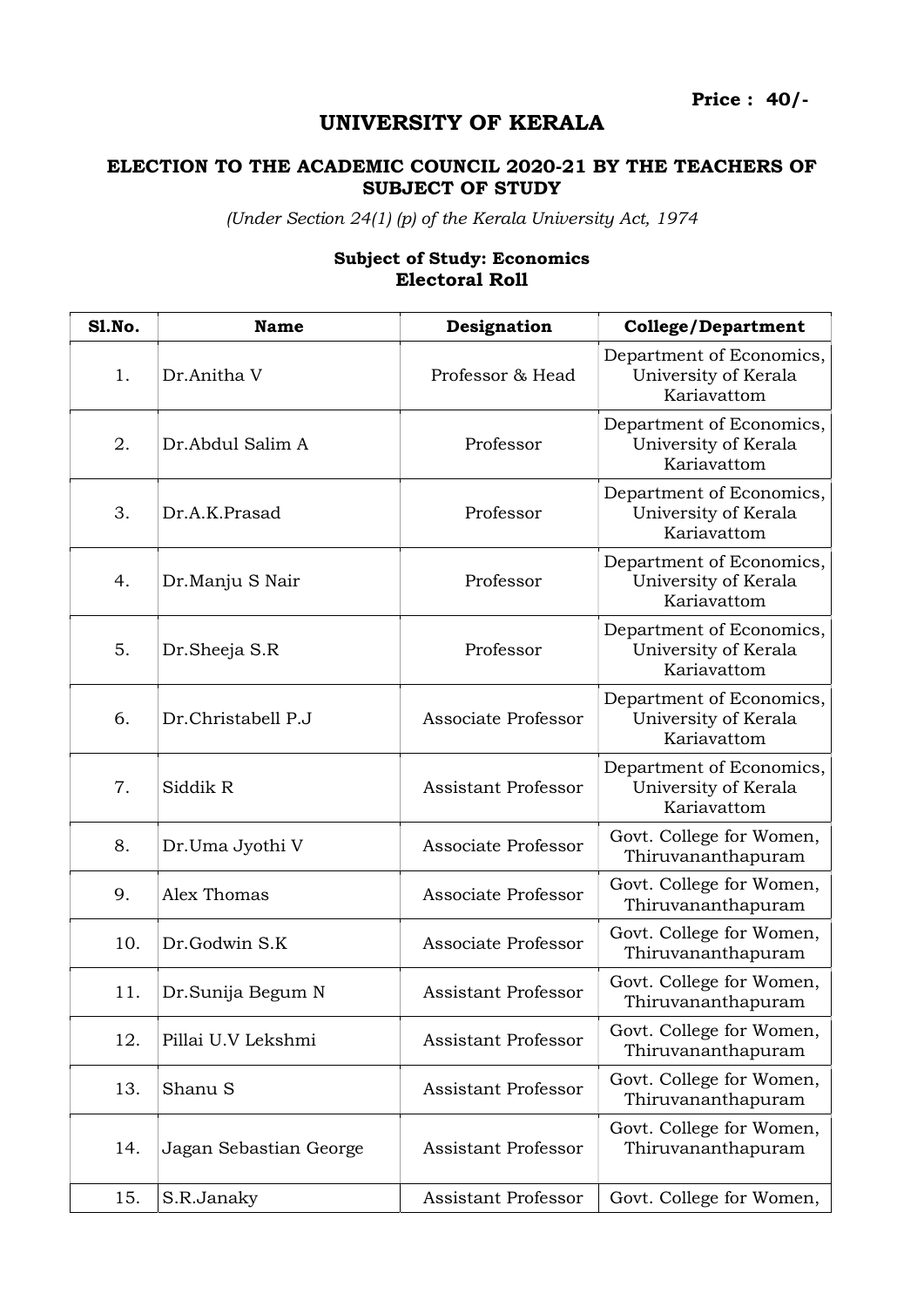Price : 40/-

## UNIVERSITY OF KERALA

## ELECTION TO THE ACADEMIC COUNCIL 2020-21 BY THE TEACHERS OF SUBJECT OF STUDY

(Under Section 24(1) (p) of the Kerala University Act, 1974

## Sl.No. Name Name Designation College/Department 1. Dr.Anitha V Professor & Head Department of Economics, University of Kerala Kariavattom 2. Dr.Abdul Salim A Professor Department of Economics, University of Kerala Kariavattom 3. Dr.A.K.Prasad Professor Department of Economics, University of Kerala Kariavattom 4. Dr.Manju S Nair Professor Department of Economics, University of Kerala Kariavattom 5. Dr.Sheeja S.R Professor Department of Economics, University of Kerala Kariavattom 6. Dr.Christabell P.J Associate Professor Department of Economics, University of Kerala Kariavattom 7. Siddik R Assistant Professor Department of Economics, University of Kerala Kariavattom 8. Dr.Uma Jyothi V Associate Professor  $\begin{array}{c} \n\text{Govt. College for Women,} \\
\text{M.} \n\end{array}$ Thiruvananthapuram 9. Alex Thomas Associate Professor Govt. College for Women, Thiruvananthapuram 10. Dr.Godwin S.K Associate Professor Govt. College for Women, Thiruvananthapuram 11. Dr.Sunija Begum N Assistant Professor Govt. College for Women, Thiruvananthapuram 12. Pillai U.V Lekshmi Assistant Professor Govt. College for Women, Thiruvananthapuram 13. Shanu S Assistant Professor Govt. College for Women, Thiruvananthapuram 14. Jagan Sebastian George Assistant Professor Govt. College for Women, Thiruvananthapuram

15. S.R.Janaky **Assistant Professor Govt. College for Women**,

## Subject of Study: Economics Electoral Roll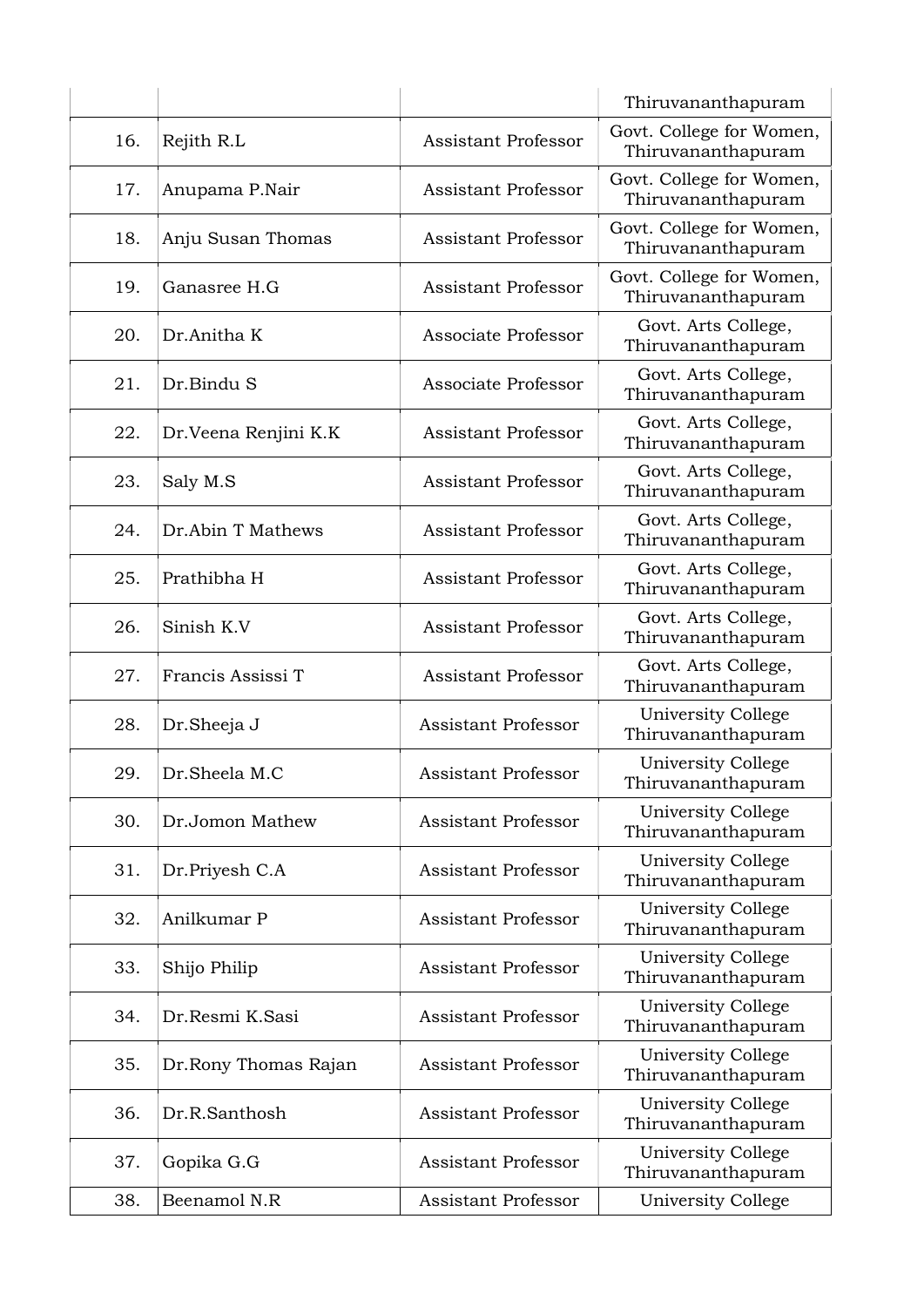|     |                       |                            | Thiruvananthapuram                             |
|-----|-----------------------|----------------------------|------------------------------------------------|
| 16. | Rejith R.L            | <b>Assistant Professor</b> | Govt. College for Women,<br>Thiruvananthapuram |
| 17. | Anupama P.Nair        | <b>Assistant Professor</b> | Govt. College for Women,<br>Thiruvananthapuram |
| 18. | Anju Susan Thomas     | <b>Assistant Professor</b> | Govt. College for Women,<br>Thiruvananthapuram |
| 19. | Ganasree H.G          | <b>Assistant Professor</b> | Govt. College for Women,<br>Thiruvananthapuram |
| 20. | Dr.Anitha K           | Associate Professor        | Govt. Arts College,<br>Thiruvananthapuram      |
| 21. | Dr.Bindu S            | Associate Professor        | Govt. Arts College,<br>Thiruvananthapuram      |
| 22. | Dr. Veena Renjini K.K | <b>Assistant Professor</b> | Govt. Arts College,<br>Thiruvananthapuram      |
| 23. | Saly M.S              | <b>Assistant Professor</b> | Govt. Arts College,<br>Thiruvananthapuram      |
| 24. | Dr.Abin T Mathews     | <b>Assistant Professor</b> | Govt. Arts College,<br>Thiruvananthapuram      |
| 25. | Prathibha H           | <b>Assistant Professor</b> | Govt. Arts College,<br>Thiruvananthapuram      |
| 26. | Sinish K.V            | <b>Assistant Professor</b> | Govt. Arts College,<br>Thiruvananthapuram      |
| 27. | Francis Assissi T     | <b>Assistant Professor</b> | Govt. Arts College,<br>Thiruvananthapuram      |
| 28. | Dr.Sheeja J           | <b>Assistant Professor</b> | University College<br>Thiruvananthapuram       |
| 29. | Dr.Sheela M.C         | <b>Assistant Professor</b> | University College<br>Thiruvananthapuram       |
| 30. | Dr.Jomon Mathew       | <b>Assistant Professor</b> | University College<br>Thiruvananthapuram       |
| 31. | Dr.Priyesh C.A        | <b>Assistant Professor</b> | University College<br>Thiruvananthapuram       |
| 32. | Anilkumar P           | <b>Assistant Professor</b> | University College<br>Thiruvananthapuram       |
| 33. | Shijo Philip          | <b>Assistant Professor</b> | University College<br>Thiruvananthapuram       |
| 34. | Dr.Resmi K.Sasi       | <b>Assistant Professor</b> | University College<br>Thiruvananthapuram       |
| 35. | Dr.Rony Thomas Rajan  | <b>Assistant Professor</b> | University College<br>Thiruvananthapuram       |
| 36. | Dr.R.Santhosh         | Assistant Professor        | University College<br>Thiruvananthapuram       |
| 37. | Gopika G.G            | <b>Assistant Professor</b> | University College<br>Thiruvananthapuram       |
| 38. | Beenamol N.R          | Assistant Professor        | University College                             |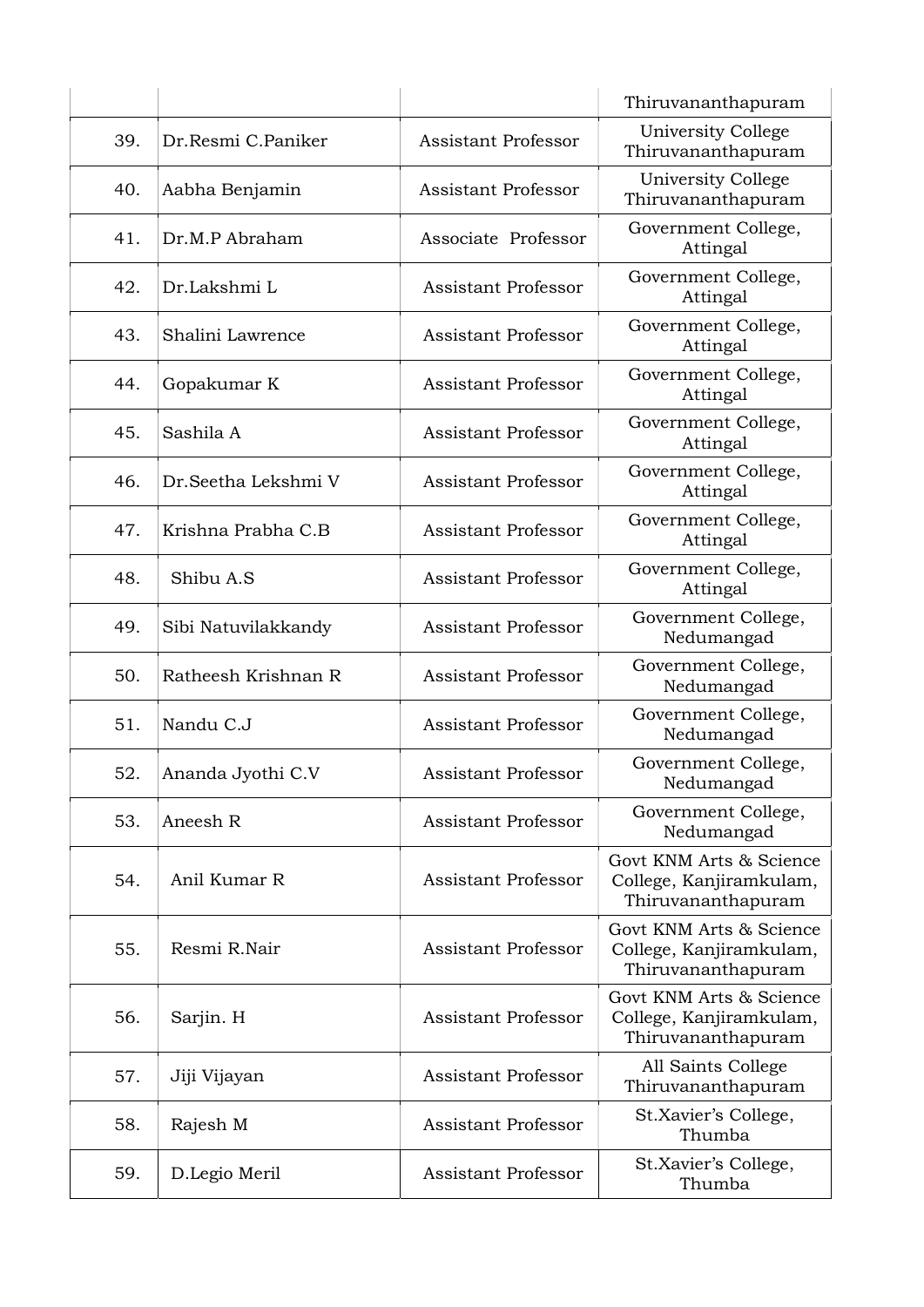|     |                      |                            | Thiruvananthapuram                                                       |
|-----|----------------------|----------------------------|--------------------------------------------------------------------------|
| 39. | Dr.Resmi C.Paniker   | <b>Assistant Professor</b> | University College<br>Thiruvananthapuram                                 |
| 40. | Aabha Benjamin       | Assistant Professor        | University College<br>Thiruvananthapuram                                 |
| 41. | Dr.M.P Abraham       | Associate Professor        | Government College,<br>Attingal                                          |
| 42. | Dr.Lakshmi L         | <b>Assistant Professor</b> | Government College,<br>Attingal                                          |
| 43. | Shalini Lawrence     | <b>Assistant Professor</b> | Government College,<br>Attingal                                          |
| 44. | Gopakumar K          | <b>Assistant Professor</b> | Government College,<br>Attingal                                          |
| 45. | Sashila A            | <b>Assistant Professor</b> | Government College,<br>Attingal                                          |
| 46. | Dr. Seetha Lekshmi V | <b>Assistant Professor</b> | Government College,<br>Attingal                                          |
| 47. | Krishna Prabha C.B   | <b>Assistant Professor</b> | Government College,<br>Attingal                                          |
| 48. | Shibu A.S            | Assistant Professor        | Government College,<br>Attingal                                          |
| 49. | Sibi Natuvilakkandy  | <b>Assistant Professor</b> | Government College,<br>Nedumangad                                        |
| 50. | Ratheesh Krishnan R  | <b>Assistant Professor</b> | Government College,<br>Nedumangad                                        |
| 51. | Nandu C.J            | <b>Assistant Professor</b> | Government College,<br>Nedumangad                                        |
| 52. | Ananda Jyothi C.V    | <b>Assistant Professor</b> | Government College,<br>Nedumangad                                        |
| 53. | Aneesh R             | <b>Assistant Professor</b> | Government College,<br>Nedumangad                                        |
| 54. | Anil Kumar R         | <b>Assistant Professor</b> | Govt KNM Arts & Science<br>College, Kanjiramkulam,<br>Thiruvananthapuram |
| 55. | Resmi R.Nair         | <b>Assistant Professor</b> | Govt KNM Arts & Science<br>College, Kanjiramkulam,<br>Thiruvananthapuram |
| 56. | Sarjin. H            | <b>Assistant Professor</b> | Govt KNM Arts & Science<br>College, Kanjiramkulam,<br>Thiruvananthapuram |
| 57. | Jiji Vijayan         | <b>Assistant Professor</b> | All Saints College<br>Thiruvananthapuram                                 |
| 58. | Rajesh M             | <b>Assistant Professor</b> | St.Xavier's College,<br>Thumba                                           |
| 59. | D.Legio Meril        | <b>Assistant Professor</b> | St.Xavier's College,<br>Thumba                                           |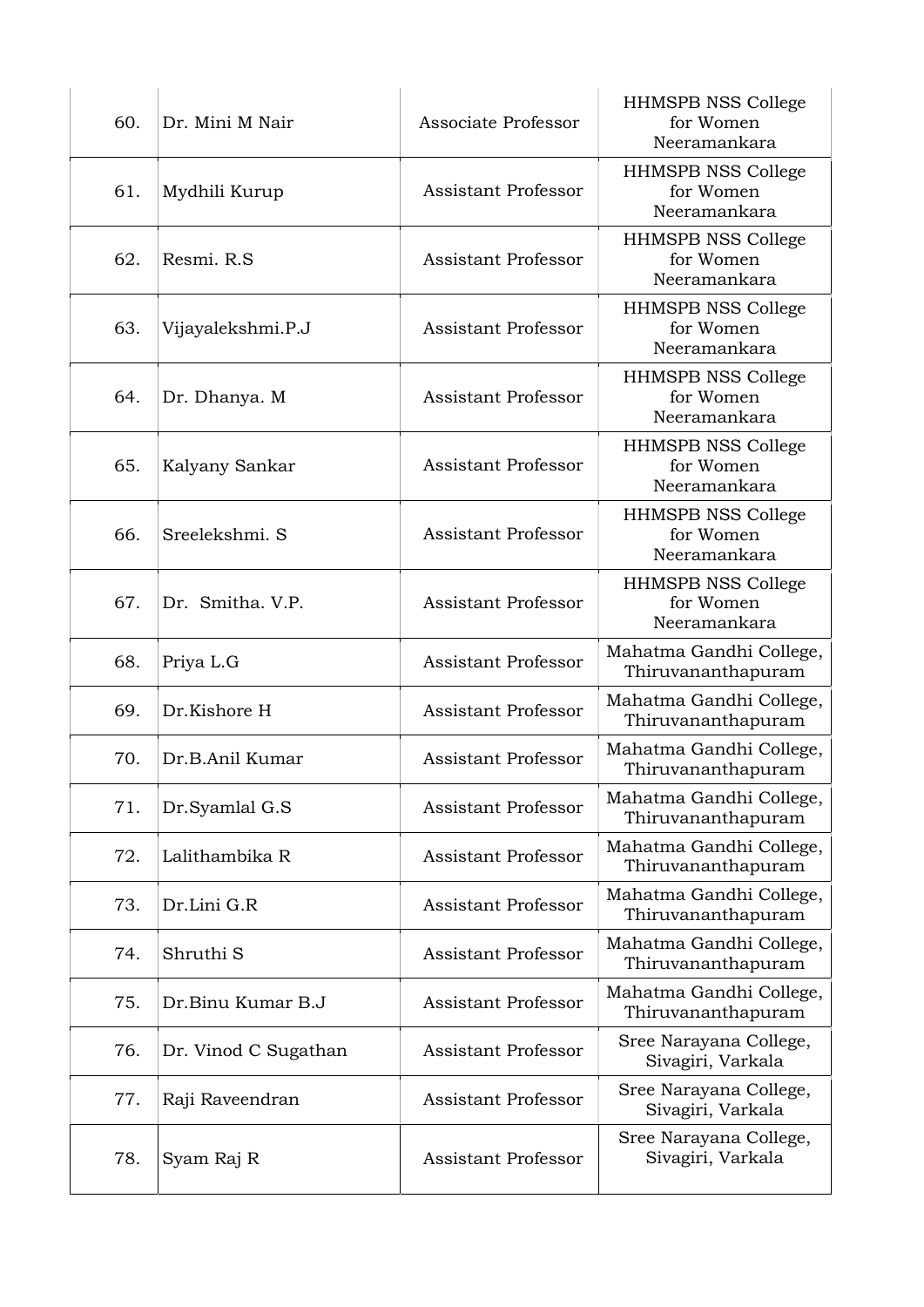| 60. | Dr. Mini M Nair      | Associate Professor        | <b>HHMSPB NSS College</b><br>for Women<br>Neeramankara |
|-----|----------------------|----------------------------|--------------------------------------------------------|
| 61. | Mydhili Kurup        | <b>Assistant Professor</b> | <b>HHMSPB NSS College</b><br>for Women<br>Neeramankara |
| 62. | Resmi. R.S.          | <b>Assistant Professor</b> | HHMSPB NSS College<br>for Women<br>Neeramankara        |
| 63. | Vijayalekshmi.P.J    | <b>Assistant Professor</b> | <b>HHMSPB NSS College</b><br>for Women<br>Neeramankara |
| 64. | Dr. Dhanya. M        | <b>Assistant Professor</b> | <b>HHMSPB NSS College</b><br>for Women<br>Neeramankara |
| 65. | Kalyany Sankar       | <b>Assistant Professor</b> | <b>HHMSPB NSS College</b><br>for Women<br>Neeramankara |
| 66. | Sreelekshmi. S       | <b>Assistant Professor</b> | <b>HHMSPB NSS College</b><br>for Women<br>Neeramankara |
| 67. | Dr. Smitha. V.P.     | <b>Assistant Professor</b> | <b>HHMSPB NSS College</b><br>for Women<br>Neeramankara |
| 68. | Priya L.G            | <b>Assistant Professor</b> | Mahatma Gandhi College,<br>Thiruvananthapuram          |
| 69. | Dr.Kishore H         | <b>Assistant Professor</b> | Mahatma Gandhi College,<br>Thiruvananthapuram          |
| 70. | Dr.B.Anil Kumar      | <b>Assistant Professor</b> | Mahatma Gandhi College,<br>Thiruvananthapuram          |
| 71. | Dr.Syamlal G.S       | <b>Assistant Professor</b> | Mahatma Gandhi College,<br>Thiruvananthapuram          |
| 72. | Lalithambika R       | <b>Assistant Professor</b> | Mahatma Gandhi College,<br>Thiruvananthapuram          |
| 73. | Dr.Lini G.R          | <b>Assistant Professor</b> | Mahatma Gandhi College,<br>Thiruvananthapuram          |
| 74. | Shruthi S            | <b>Assistant Professor</b> | Mahatma Gandhi College,<br>Thiruvananthapuram          |
| 75. | Dr.Binu Kumar B.J    | <b>Assistant Professor</b> | Mahatma Gandhi College,<br>Thiruvananthapuram          |
| 76. | Dr. Vinod C Sugathan | <b>Assistant Professor</b> | Sree Narayana College,<br>Sivagiri, Varkala            |
| 77. | Raji Raveendran      | Assistant Professor        | Sree Narayana College,<br>Sivagiri, Varkala            |
| 78. | Syam Raj R           | <b>Assistant Professor</b> | Sree Narayana College,<br>Sivagiri, Varkala            |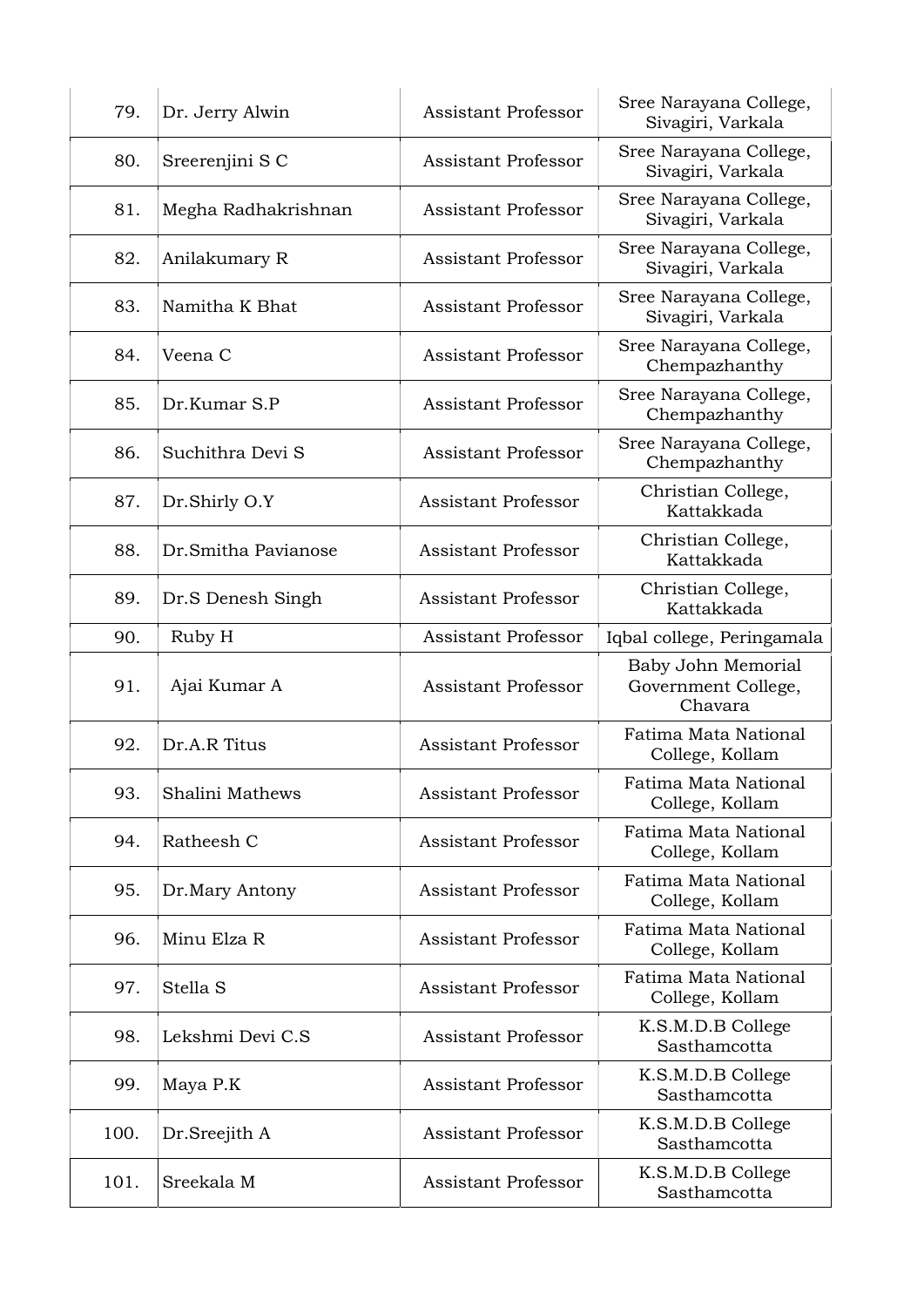| 79.  | Dr. Jerry Alwin     | <b>Assistant Professor</b> | Sree Narayana College,<br>Sivagiri, Varkala          |
|------|---------------------|----------------------------|------------------------------------------------------|
| 80.  | Sreerenjini S C     | Assistant Professor        | Sree Narayana College,<br>Sivagiri, Varkala          |
| 81.  | Megha Radhakrishnan | <b>Assistant Professor</b> | Sree Narayana College,<br>Sivagiri, Varkala          |
| 82.  | Anilakumary R       | <b>Assistant Professor</b> | Sree Narayana College,<br>Sivagiri, Varkala          |
| 83.  | Namitha K Bhat      | <b>Assistant Professor</b> | Sree Narayana College,<br>Sivagiri, Varkala          |
| 84.  | Veena C             | Assistant Professor        | Sree Narayana College,<br>Chempazhanthy              |
| 85.  | Dr.Kumar S.P        | <b>Assistant Professor</b> | Sree Narayana College,<br>Chempazhanthy              |
| 86.  | Suchithra Devi S    | <b>Assistant Professor</b> | Sree Narayana College,<br>Chempazhanthy              |
| 87.  | Dr.Shirly O.Y       | <b>Assistant Professor</b> | Christian College,<br>Kattakkada                     |
| 88.  | Dr.Smitha Pavianose | <b>Assistant Professor</b> | Christian College,<br>Kattakkada                     |
| 89.  | Dr.S Denesh Singh   | <b>Assistant Professor</b> | Christian College,<br>Kattakkada                     |
| 90.  | Ruby H              | Assistant Professor        | Iqbal college, Peringamala                           |
| 91.  | Ajai Kumar A        | <b>Assistant Professor</b> | Baby John Memorial<br>Government College,<br>Chavara |
| 92.  | Dr.A.R Titus        | <b>Assistant Professor</b> | Fatima Mata National<br>College, Kollam              |
| 93.  | Shalini Mathews     | <b>Assistant Professor</b> | Fatima Mata National<br>College, Kollam              |
| 94.  | Ratheesh C          | <b>Assistant Professor</b> | Fatima Mata National<br>College, Kollam              |
| 95.  | Dr.Mary Antony      | <b>Assistant Professor</b> | Fatima Mata National<br>College, Kollam              |
| 96.  | Minu Elza R         | <b>Assistant Professor</b> | Fatima Mata National<br>College, Kollam              |
| 97.  | Stella S            | <b>Assistant Professor</b> | Fatima Mata National<br>College, Kollam              |
| 98.  | Lekshmi Devi C.S    | <b>Assistant Professor</b> | K.S.M.D.B College<br>Sasthamcotta                    |
| 99.  | Maya P.K            | <b>Assistant Professor</b> | K.S.M.D.B College<br>Sasthamcotta                    |
| 100. | Dr.Sreejith A       | <b>Assistant Professor</b> | K.S.M.D.B College<br>Sasthamcotta                    |
| 101. | Sreekala M          | <b>Assistant Professor</b> | K.S.M.D.B College<br>Sasthamcotta                    |
|      |                     |                            |                                                      |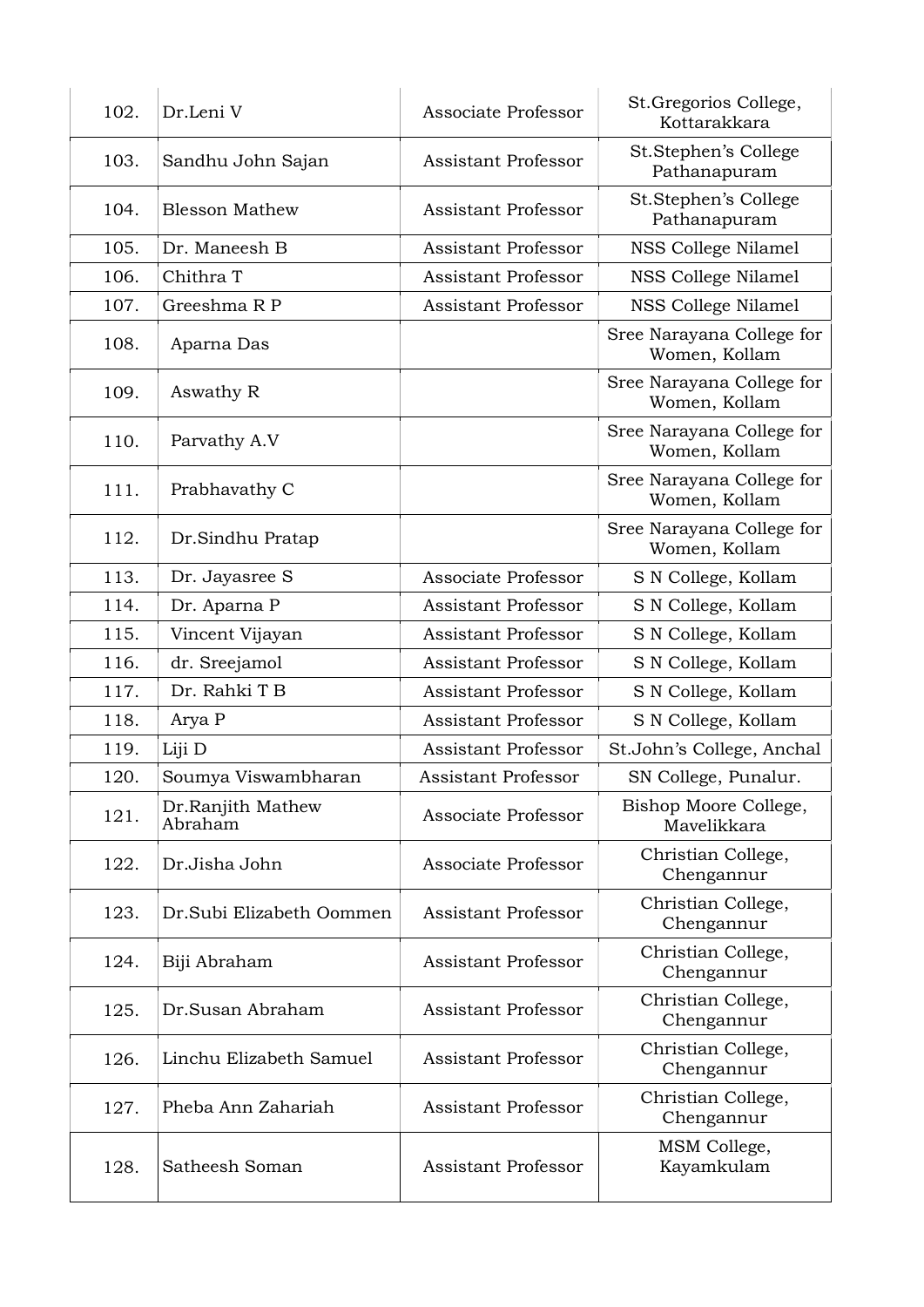| 102. | Dr.Leni V                    | Associate Professor        | St. Gregorios College,<br>Kottarakkara     |
|------|------------------------------|----------------------------|--------------------------------------------|
| 103. | Sandhu John Sajan            | <b>Assistant Professor</b> | St.Stephen's College<br>Pathanapuram       |
| 104. | <b>Blesson Mathew</b>        | <b>Assistant Professor</b> | St.Stephen's College<br>Pathanapuram       |
| 105. | Dr. Maneesh B                | <b>Assistant Professor</b> | NSS College Nilamel                        |
| 106. | Chithra T                    | <b>Assistant Professor</b> | NSS College Nilamel                        |
| 107. | Greeshma R P                 | <b>Assistant Professor</b> | NSS College Nilamel                        |
| 108. | Aparna Das                   |                            | Sree Narayana College for<br>Women, Kollam |
| 109. | Aswathy R                    |                            | Sree Narayana College for<br>Women, Kollam |
| 110. | Parvathy A.V                 |                            | Sree Narayana College for<br>Women, Kollam |
| 111. | Prabhavathy C                |                            | Sree Narayana College for<br>Women, Kollam |
| 112. | Dr.Sindhu Pratap             |                            | Sree Narayana College for<br>Women, Kollam |
| 113. | Dr. Jayasree S               | Associate Professor        | S N College, Kollam                        |
| 114. | Dr. Aparna P                 | Assistant Professor        | S N College, Kollam                        |
| 115. | Vincent Vijayan              | Assistant Professor        | S N College, Kollam                        |
| 116. | dr. Sreejamol                | <b>Assistant Professor</b> | S N College, Kollam                        |
| 117. | Dr. Rahki T B                | <b>Assistant Professor</b> | S N College, Kollam                        |
| 118. | Arya P                       | <b>Assistant Professor</b> | S N College, Kollam                        |
| 119. | Liji D                       | <b>Assistant Professor</b> | St.John's College, Anchal                  |
| 120. | Soumya Viswambharan          | <b>Assistant Professor</b> | SN College, Punalur.                       |
| 121. | Dr.Ranjith Mathew<br>Abraham | Associate Professor        | Bishop Moore College,<br>Mavelikkara       |
| 122. | Dr.Jisha John                | Associate Professor        | Christian College,<br>Chengannur           |
| 123. | Dr.Subi Elizabeth Oommen     | <b>Assistant Professor</b> | Christian College,<br>Chengannur           |
| 124. | Biji Abraham                 | <b>Assistant Professor</b> | Christian College,<br>Chengannur           |
| 125. | Dr.Susan Abraham             | <b>Assistant Professor</b> | Christian College,<br>Chengannur           |
| 126. | Linchu Elizabeth Samuel      | <b>Assistant Professor</b> | Christian College,<br>Chengannur           |
| 127. | Pheba Ann Zahariah           | <b>Assistant Professor</b> | Christian College,<br>Chengannur           |
| 128. | Satheesh Soman               | <b>Assistant Professor</b> | MSM College,<br>Kayamkulam                 |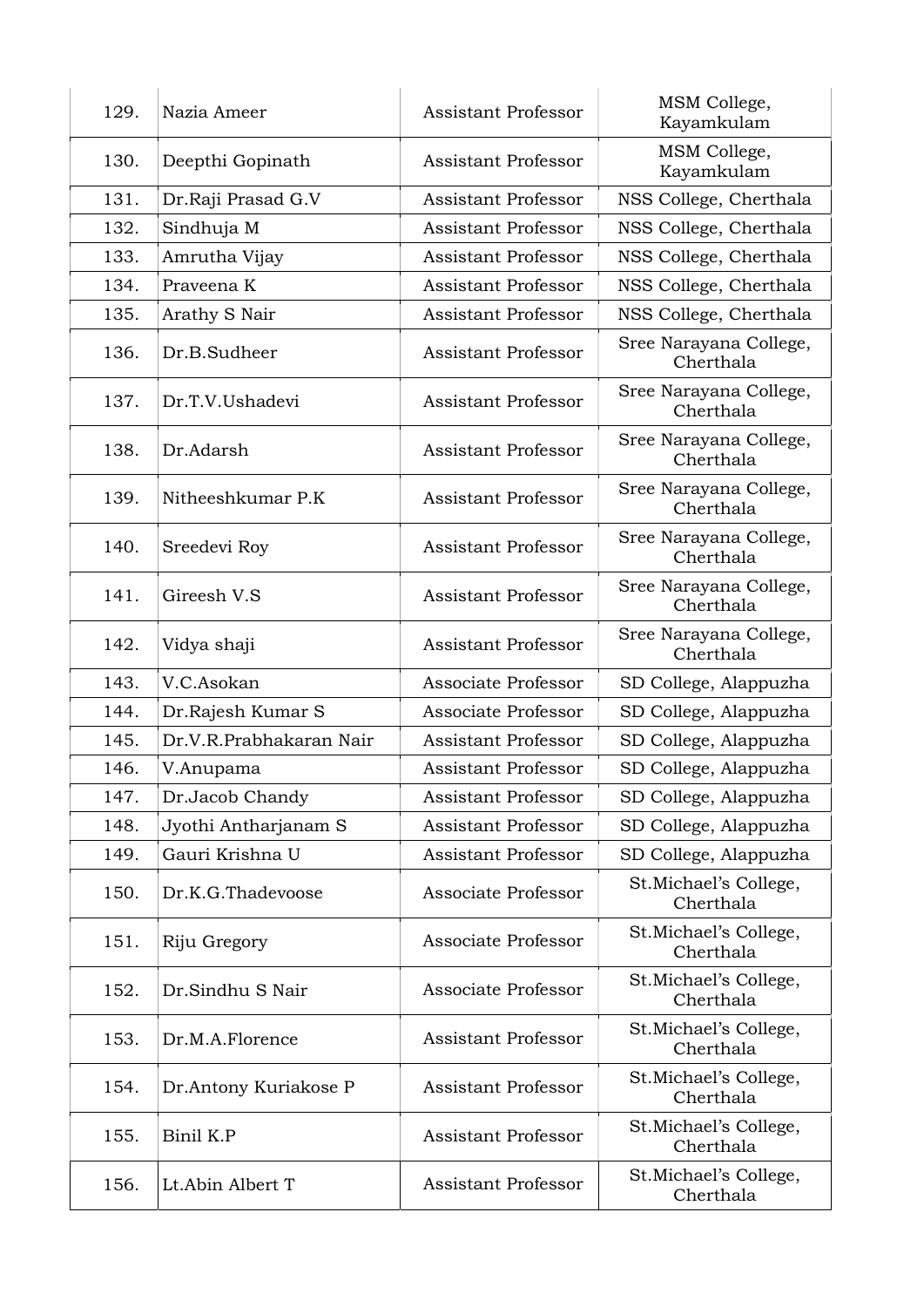| 129. | Nazia Ameer             | <b>Assistant Professor</b> | MSM College,<br>Kayamkulam          |
|------|-------------------------|----------------------------|-------------------------------------|
| 130. | Deepthi Gopinath        | <b>Assistant Professor</b> | MSM College,<br>Kayamkulam          |
| 131. | Dr.Raji Prasad G.V      | <b>Assistant Professor</b> | NSS College, Cherthala              |
| 132. | Sindhuja M              | <b>Assistant Professor</b> | NSS College, Cherthala              |
| 133. | Amrutha Vijay           | <b>Assistant Professor</b> | NSS College, Cherthala              |
| 134. | Praveena K              | <b>Assistant Professor</b> | NSS College, Cherthala              |
| 135. | Arathy S Nair           | <b>Assistant Professor</b> | NSS College, Cherthala              |
| 136. | Dr.B.Sudheer            | <b>Assistant Professor</b> | Sree Narayana College,<br>Cherthala |
| 137. | Dr.T.V.Ushadevi         | <b>Assistant Professor</b> | Sree Narayana College,<br>Cherthala |
| 138. | Dr.Adarsh               | <b>Assistant Professor</b> | Sree Narayana College,<br>Cherthala |
| 139. | Nitheeshkumar P.K       | <b>Assistant Professor</b> | Sree Narayana College,<br>Cherthala |
| 140. | Sreedevi Roy            | <b>Assistant Professor</b> | Sree Narayana College,<br>Cherthala |
| 141. | Gireesh V.S             | <b>Assistant Professor</b> | Sree Narayana College,<br>Cherthala |
| 142. | Vidya shaji             | <b>Assistant Professor</b> | Sree Narayana College,<br>Cherthala |
| 143. | V.C.Asokan              | Associate Professor        | SD College, Alappuzha               |
| 144. | Dr.Rajesh Kumar S       | Associate Professor        | SD College, Alappuzha               |
| 145. | Dr.V.R.Prabhakaran Nair | <b>Assistant Professor</b> | SD College, Alappuzha               |
| 146. | V.Anupama               | <b>Assistant Professor</b> | SD College, Alappuzha               |
| 147. | Dr.Jacob Chandy         | <b>Assistant Professor</b> | SD College, Alappuzha               |
| 148. | Jyothi Antharjanam S    | <b>Assistant Professor</b> | SD College, Alappuzha               |
| 149. | Gauri Krishna U         | <b>Assistant Professor</b> | SD College, Alappuzha               |
| 150. | Dr.K.G.Thadevoose       | Associate Professor        | St.Michael's College,<br>Cherthala  |
| 151. | Riju Gregory            | Associate Professor        | St.Michael's College,<br>Cherthala  |
| 152. | Dr.Sindhu S Nair        | Associate Professor        | St.Michael's College,<br>Cherthala  |
| 153. | Dr.M.A.Florence         | <b>Assistant Professor</b> | St.Michael's College,<br>Cherthala  |
| 154. | Dr.Antony Kuriakose P   | <b>Assistant Professor</b> | St.Michael's College,<br>Cherthala  |
| 155. | Binil K.P               | <b>Assistant Professor</b> | St.Michael's College,<br>Cherthala  |
| 156. | Lt.Abin Albert T        | <b>Assistant Professor</b> | St.Michael's College,<br>Cherthala  |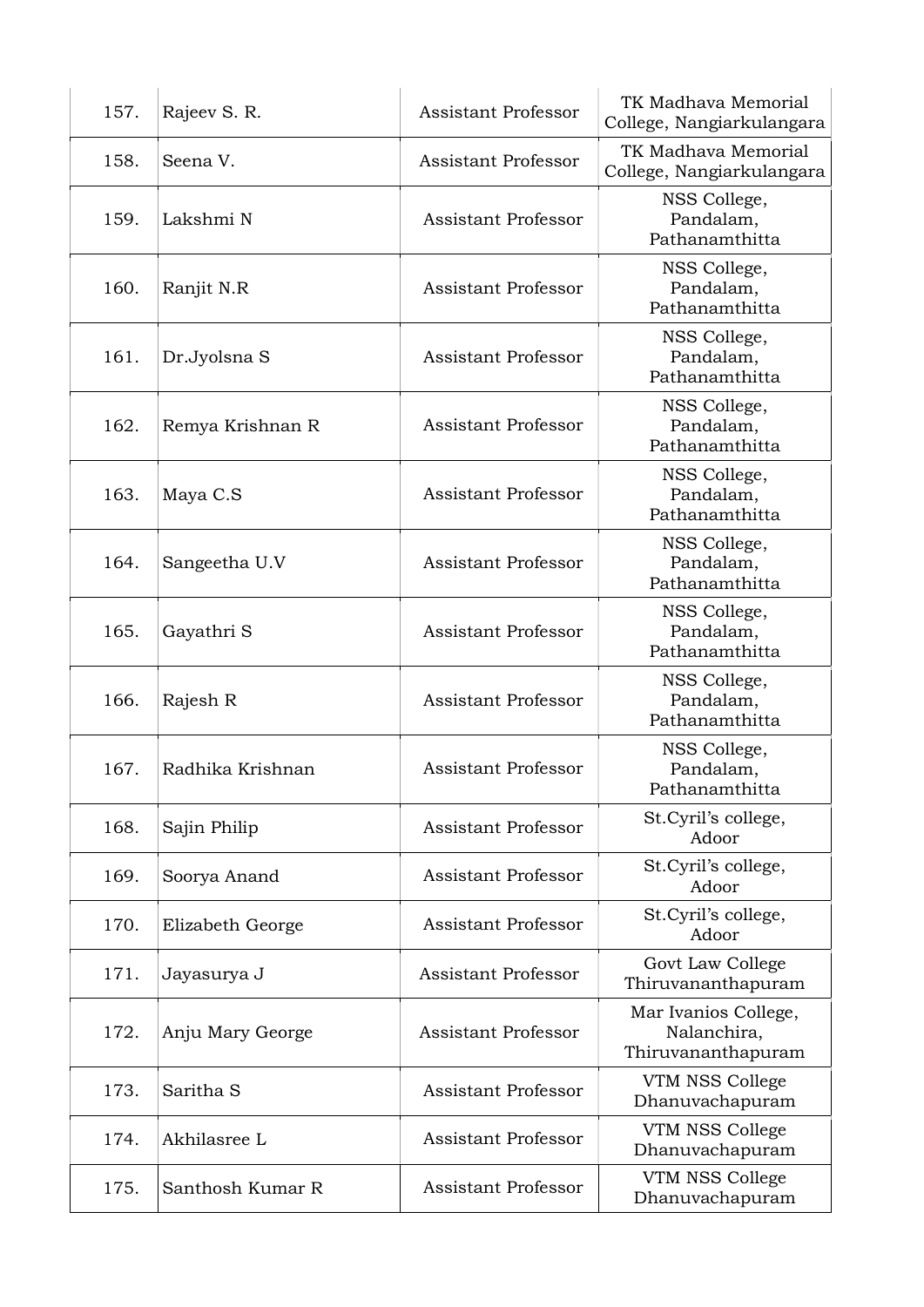| 157. | Rajeev S. R.         | <b>Assistant Professor</b> | TK Madhava Memorial<br>College, Nangiarkulangara          |
|------|----------------------|----------------------------|-----------------------------------------------------------|
| 158. | Seena V.             | <b>Assistant Professor</b> | TK Madhava Memorial<br>College, Nangiarkulangara          |
| 159. | Lakshmi N            | <b>Assistant Professor</b> | NSS College,<br>Pandalam,<br>Pathanamthitta               |
| 160. | Ranjit N.R           | <b>Assistant Professor</b> | NSS College,<br>Pandalam,<br>Pathanamthitta               |
| 161. | Dr.Jyolsna S         | <b>Assistant Professor</b> | NSS College,<br>Pandalam,<br>Pathanamthitta               |
| 162. | Remya Krishnan R     | <b>Assistant Professor</b> | NSS College,<br>Pandalam,<br>Pathanamthitta               |
| 163. | Maya C.S             | <b>Assistant Professor</b> | NSS College,<br>Pandalam,<br>Pathanamthitta               |
| 164. | Sangeetha U.V        | <b>Assistant Professor</b> | NSS College,<br>Pandalam,<br>Pathanamthitta               |
| 165. | Gayathri S           | <b>Assistant Professor</b> | NSS College,<br>Pandalam,<br>Pathanamthitta               |
| 166. | Rajesh R             | <b>Assistant Professor</b> | NSS College,<br>Pandalam,<br>Pathanamthitta               |
| 167. | Radhika Krishnan     | <b>Assistant Professor</b> | NSS College,<br>Pandalam,<br>Pathanamthitta               |
| 168. | Sajin Philip         | <b>Assistant Professor</b> | St.Cyril's college,<br>Adoor                              |
| 169. | Soorya Anand         | <b>Assistant Professor</b> | St.Cyril's college,<br>Adoor                              |
| 170. | Elizabeth George     | <b>Assistant Professor</b> | St.Cyril's college,<br>Adoor                              |
| 171. | Jayasurya J          | <b>Assistant Professor</b> | Govt Law College<br>Thiruvananthapuram                    |
| 172. | Anju Mary George     | <b>Assistant Professor</b> | Mar Ivanios College,<br>Nalanchira,<br>Thiruvananthapuram |
| 173. | Saritha <sub>S</sub> | <b>Assistant Professor</b> | VTM NSS College<br>Dhanuvachapuram                        |
| 174. | Akhilasree L         | <b>Assistant Professor</b> | VTM NSS College<br>Dhanuvachapuram                        |
| 175. | Santhosh Kumar R     | Assistant Professor        | VTM NSS College<br>Dhanuvachapuram                        |